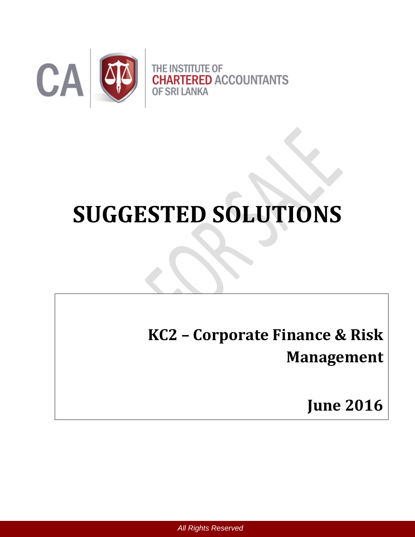

# **SUGGESTED SOLUTIONS**

**KC2 – Corporate Finance & Risk Management**

**June 2016**

*All Rights Reserved*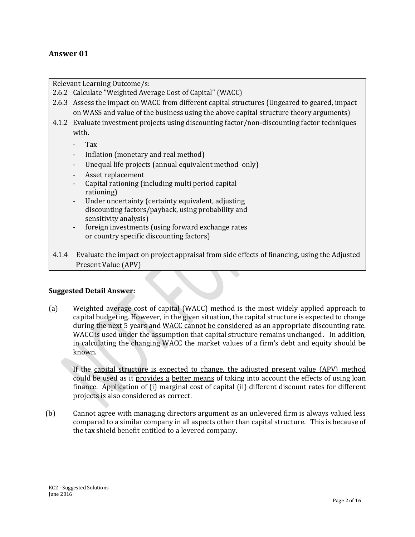## **Answer 01**

Relevant Learning Outcome/s:

- 2.6.2 Calculate "Weighted Average Cost of Capital" (WACC)
- 2.6.3 Assess the impact on WACC from different capital structures (Ungeared to geared, impact on WASS and value of the business using the above capital structure theory arguments)
- 4.1.2 Evaluate investment projects using discounting factor/non-discounting factor techniques with.
	- Tax
	- Inflation (monetary and real method)
	- Unequal life projects (annual equivalent method only)
	- Asset replacement
	- Capital rationing (including multi period capital rationing)
	- Under uncertainty (certainty equivalent, adjusting discounting factors/payback, using probability and sensitivity analysis)
	- foreign investments (using forward exchange rates or country specific discounting factors)
- 4.1.4 Evaluate the impact on project appraisal from side effects of financing, using the Adjusted Present Value (APV)

#### **Suggested Detail Answer:**

(a) Weighted average cost of capital (WACC) method is the most widely applied approach to capital budgeting. However, in the given situation, the capital structure is expected to change during the next 5 years and WACC cannot be considered as an appropriate discounting rate. WACC is used under the assumption that capital structure remains unchanged**.** In addition, in calculating the changing WACC the market values of a firm's debt and equity should be known.

If the capital structure is expected to change, the adjusted present value (APV) method could be used as it provides a better means of taking into account the effects of using loan finance. Application of (i) marginal cost of capital (ii) different discount rates for different projects is also considered as correct.

(b) Cannot agree with managing directors argument as an unlevered firm is always valued less compared to a similar company in all aspects other than capital structure. This is because of the tax shield benefit entitled to a levered company.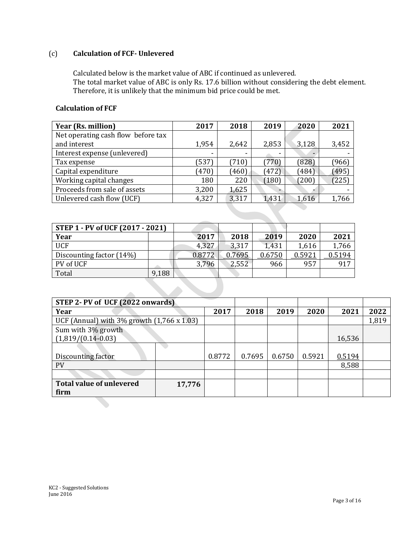# (c) **Calculation of FCF- Unlevered**

 $\mathbb{R}$ 

Calculated below is the market value of ABC if continued as unlevered. The total market value of ABC is only Rs. 17.6 billion without considering the debt element. Therefore, it is unlikely that the minimum bid price could be met.

#### **Calculation of FCF**

| Year (Rs. million)                 | 2017  | 2018                     | 2019  | 2020  | 2021  |
|------------------------------------|-------|--------------------------|-------|-------|-------|
| Net operating cash flow before tax |       |                          |       |       |       |
| and interest                       | 1,954 | 2,642                    | 2,853 | 3,128 | 3,452 |
| Interest expense (unlevered)       | -     | $\overline{\phantom{0}}$ |       | -     |       |
| Tax expense                        | (537) | (710)                    | 770   | (828) | (966) |
| Capital expenditure                | (470) | (460)                    | (472) | (484) | (495) |
| Working capital changes            | 180   | 220                      | (180) | (200) | [225] |
| Proceeds from sale of assets       | 3,200 | 1,625                    |       |       |       |
| Unlevered cash flow (UCF)          | 4,327 | 3,317                    | 1,431 | 1,616 | 1,766 |

| STEP 1 - PV of UCF (2017 - 2021) |       |        |        |        |        |        |
|----------------------------------|-------|--------|--------|--------|--------|--------|
| Year                             |       | 2017   | 2018   | 2019   | 2020   | 2021   |
| <b>UCF</b>                       |       | 4,327  | 3.317  | 1,431  | 1,616  | 1,766  |
| Discounting factor (14%)         |       | 0.8772 | 0.7695 | 0.6750 | 0.5921 | 0.5194 |
| PV of UCF                        |       | 3,796  | 2,552  | 966    | 957    | 917    |
| Total                            | 9,188 |        |        |        |        |        |

| STEP 2- PV of UCF (2022 onwards)           |        |        |        |        |        |        |       |
|--------------------------------------------|--------|--------|--------|--------|--------|--------|-------|
| Year                                       |        | 2017   | 2018   | 2019   | 2020   | 2021   | 2022  |
| UCF (Annual) with 3% growth (1,766 x 1.03) |        |        |        |        |        |        | 1,819 |
| Sum with 3% growth                         |        |        |        |        |        |        |       |
| $(1,819/(0.14-0.03))$                      |        |        |        |        |        | 16,536 |       |
|                                            |        |        |        |        |        |        |       |
| Discounting factor                         |        | 0.8772 | 0.7695 | 0.6750 | 0.5921 | 0.5194 |       |
| <b>PV</b>                                  |        |        |        |        |        | 8,588  |       |
|                                            |        |        |        |        |        |        |       |
| <b>Total value of unlevered</b>            | 17,776 |        |        |        |        |        |       |
| firm                                       |        |        |        |        |        |        |       |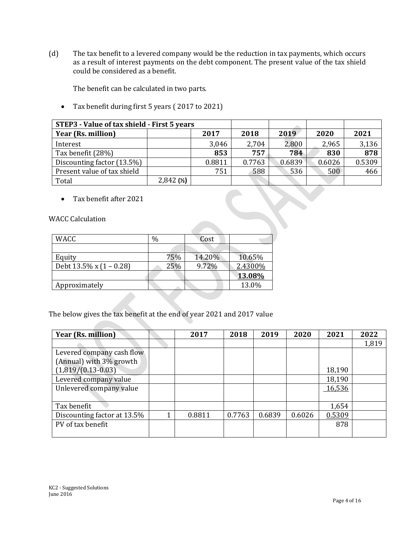(d) The tax benefit to a levered company would be the reduction in tax payments, which occurs as a result of interest payments on the debt component. The present value of the tax shield could be considered as a benefit.

The benefit can be calculated in two parts.

Tax benefit during first 5 years ( 2017 to 2021)

| STEP3 - Value of tax shield - First 5 years |           |        |        |        |        |        |
|---------------------------------------------|-----------|--------|--------|--------|--------|--------|
| Year (Rs. million)                          |           | 2017   | 2018   | 2019   | 2020   | 2021   |
| Interest                                    |           | 3,046  | 2,704  | 2,800  | 2,965  | 3,136  |
| Tax benefit (28%)                           |           | 853    | 757    | 784    | 830    | 878    |
| Discounting factor (13.5%)                  |           | 0.8811 | 0.7763 | 0.6839 | 0.6026 | 0.5309 |
| Present value of tax shield                 |           | 751    | 588    | 536    | 500    | 466    |
| Total                                       | 2,842 (x) |        |        |        |        |        |

Tax benefit after 2021

WACC Calculation

| <b>WACC</b>                  | $\%$ | Cost   |         |
|------------------------------|------|--------|---------|
|                              |      |        |         |
| Equity                       | 75%  | 14.20% | 10.65%  |
| Debt $13.5\%$ x $(1 - 0.28)$ | 25%  | 9.72%  | 2.4300% |
|                              |      |        | 13.08%  |
| Approximately                |      |        | 13.0%   |

The below gives the tax benefit at the end of year 2021 and 2017 value

| Year (Rs. million)          |   | 2017   | 2018   | 2019   | 2020   | 2021   | 2022  |
|-----------------------------|---|--------|--------|--------|--------|--------|-------|
|                             |   |        |        |        |        |        | 1,819 |
| Levered company cash flow   |   |        |        |        |        |        |       |
| (Annual) with 3% growth     |   |        |        |        |        |        |       |
| $(1,819/(0.13-0.03))$       |   |        |        |        |        | 18,190 |       |
| Levered company value       |   |        |        |        |        | 18,190 |       |
| Unlevered company value     |   |        |        |        |        | 16,536 |       |
|                             |   |        |        |        |        |        |       |
| Tax benefit                 |   |        |        |        |        | 1,654  |       |
| Discounting factor at 13.5% | 1 | 0.8811 | 0.7763 | 0.6839 | 0.6026 | 0.5309 |       |
| PV of tax benefit           |   |        |        |        |        | 878    |       |
|                             |   |        |        |        |        |        |       |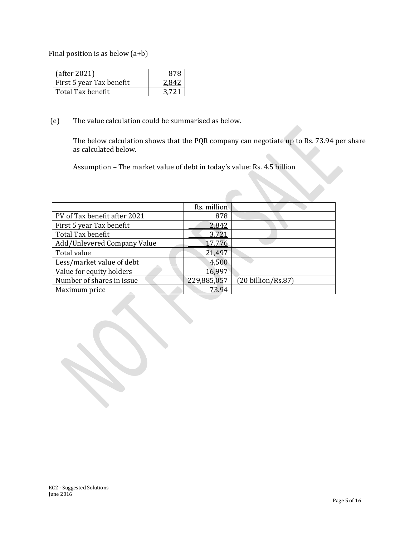Final position is as below (a+b)

| (after 2021)             |  |
|--------------------------|--|
| First 5 year Tax benefit |  |
| Total Tax benefit        |  |

(e) The value calculation could be summarised as below.

The below calculation shows that the PQR company can negotiate up to Rs. 73.94 per share as calculated below.

Assumption – The market value of debt in today's value: Rs. 4.5 billion

|                              | Rs. million |                    |
|------------------------------|-------------|--------------------|
| PV of Tax benefit after 2021 | 878         |                    |
| First 5 year Tax benefit     | 2,842       |                    |
| Total Tax benefit            | 3,721       |                    |
| Add/Unlevered Company Value  | 17,776      |                    |
| Total value                  | 21,497      |                    |
| Less/market value of debt    | 4,500       |                    |
| Value for equity holders     | 16,997      |                    |
| Number of shares in issue    | 229,885,057 | (20 billion/Rs.87) |
| Maximum price                | 73.94       |                    |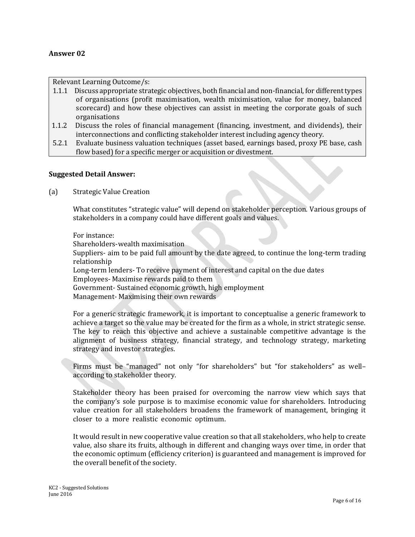#### **Answer 02**

Relevant Learning Outcome/s:

- 1.1.1 Discuss appropriate strategic objectives, both financial and non-financial, for different types of organisations (profit maximisation, wealth miximisation, value for money, balanced scorecard) and how these objectives can assist in meeting the corporate goals of such organisations
- 1.1.2 Discuss the roles of financial management (financing, investment, and dividends), their interconnections and conflicting stakeholder interest including agency theory.
- 5.2.1 Evaluate business valuation techniques (asset based, earnings based, proxy PE base, cash flow based) for a specific merger or acquisition or divestment.

#### **Suggested Detail Answer:**

(a) Strategic Value Creation

What constitutes "strategic value" will depend on stakeholder perception. Various groups of stakeholders in a company could have different goals and values.

For instance: Shareholders-wealth maximisation Suppliers- aim to be paid full amount by the date agreed, to continue the long-term trading relationship Long-term lenders- To receive payment of interest and capital on the due dates Employees- Maximise rewards paid to them Government- Sustained economic growth, high employment Management- Maximising their own rewards

For a generic strategic framework, it is important to conceptualise a generic framework to achieve a target so the value may be created for the firm as a whole, in strict strategic sense. The key to reach this objective and achieve a sustainable competitive advantage is the alignment of business strategy, financial strategy, and technology strategy, marketing strategy and investor strategies.

Firms must be "managed" not only "for shareholders" but "for stakeholders" as well– according to stakeholder theory.

Stakeholder theory has been praised for overcoming the narrow view which says that the company's sole purpose is to maximise economic value for shareholders. Introducing value creation for all stakeholders broadens the framework of management, bringing it closer to a more realistic economic optimum.

It would result in new cooperative value creation so that all stakeholders, who help to create value, also share its fruits, although in different and changing ways over time, in order that the economic optimum (efficiency criterion) is guaranteed and management is improved for the overall benefit of the society.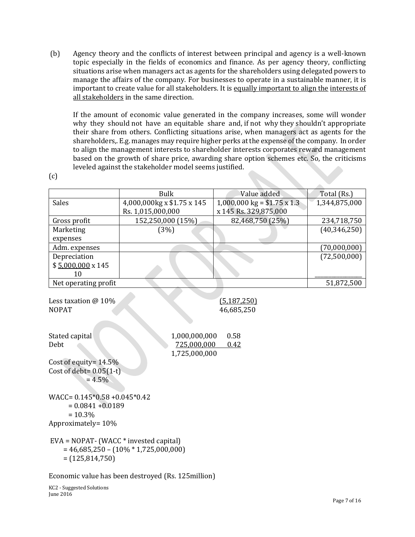(b) Agency theory and the conflicts of interest between principal and agency is a well-known topic especially in the fields of economics and finance. As per agency theory, conflicting situations arise when managers act as agents for the shareholders using delegated powers to manage the affairs of the company. For businesses to operate in a sustainable manner, it is important to create value for all stakeholders. It is equally important to align the interests of all stakeholders in the same direction.

If the amount of economic value generated in the company increases, some will wonder why they should not have an equitable share and, if not why they shouldn't appropriate their share from others. Conflicting situations arise, when managers act as agents for the shareholders,. E.g. manages may require higher perks at the expense of the company. In order to align the management interests to shareholder interests corporates reward management based on the growth of share price, awarding share option schemes etc. So, the criticisms leveled against the stakeholder model seems justified.

 $(c)$ 

|                                                                   | <b>Bulk</b>                             | Value added                                   | Total (Rs.)    |
|-------------------------------------------------------------------|-----------------------------------------|-----------------------------------------------|----------------|
| <b>Sales</b>                                                      | 4,000,000kg x \$1.75 x 145              | $1,000,000 \text{ kg} = $1.75 \text{ x } 1.3$ | 1,344,875,000  |
|                                                                   | Rs. 1,015,000,000                       | x 145 Rs. 329,875,000                         |                |
| Gross profit                                                      | 152,250,000 (15%)                       | 82,468,750 (25%)                              | 234,718,750    |
| Marketing                                                         | (3%)                                    |                                               | (40, 346, 250) |
| expenses                                                          |                                         |                                               |                |
| Adm. expenses                                                     |                                         |                                               | (70,000,000)   |
| Depreciation                                                      |                                         |                                               | (72,500,000)   |
| $$5,000,000 \times 145$                                           |                                         |                                               |                |
| 10                                                                |                                         |                                               |                |
| Net operating profit                                              |                                         |                                               | 51,872,500     |
| Less taxation @ 10%                                               |                                         | (5, 187, 250)                                 |                |
| <b>NOPAT</b>                                                      |                                         | 46,685,250                                    |                |
|                                                                   |                                         |                                               |                |
| Stated capital                                                    | 1,000,000,000                           | 0.58                                          |                |
| Debt                                                              | 725,000,000                             | 0.42                                          |                |
|                                                                   | 1,725,000,000                           |                                               |                |
| Cost of equity= 14.5%                                             |                                         |                                               |                |
| Cost of debt= $0.05(1-t)$                                         |                                         |                                               |                |
| $= 4.5\%$                                                         |                                         |                                               |                |
|                                                                   |                                         |                                               |                |
| WACC= $0.145*0.58 + 0.045*0.42$                                   |                                         |                                               |                |
| $= 0.0841 + 0.0189$                                               |                                         |                                               |                |
| $= 10.3\%$                                                        |                                         |                                               |                |
| Approximately= 10%                                                |                                         |                                               |                |
| $EVA = NOPATH - (WACC * invested capital)$<br>$= (125, 814, 750)$ | $= 46,685,250 - (10\% * 1,725,000,000)$ |                                               |                |

Economic value has been destroyed (Rs. 125million)

KC2 - Suggested Solutions June 2016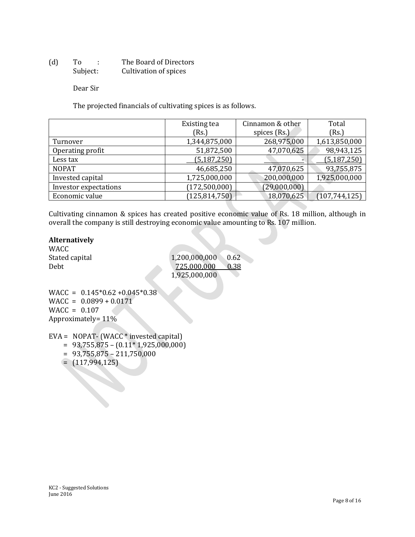(d) To : The Board of Directors Subject: Cultivation of spices

Dear Sir

The projected financials of cultivating spices is as follows.

|                       | Existing tea    | Cinnamon & other | Total           |
|-----------------------|-----------------|------------------|-----------------|
|                       | (Rs.)           | spices (Rs.)     | (Rs.)           |
| Turnover              | 1,344,875,000   | 268,975,000      | 1,613,850,000   |
| Operating profit      | 51,872,500      | 47,070,625       | 98,943,125      |
| Less tax              | (5, 187, 250)   |                  | (5, 187, 250)   |
| <b>NOPAT</b>          | 46,685,250      | 47,070,625       | 93,755,875      |
| Invested capital      | 1,725,000,000   | 200,000,000      | 1,925,000,000   |
| Investor expectations | (172, 500, 000) | (29,000,000)     |                 |
| Economic value        | (125, 814, 750) | 18,070,625       | (107, 744, 125) |

Cultivating cinnamon & spices has created positive economic value of Rs. 18 million, although in overall the company is still destroying economic value amounting to Rs. 107 million.

#### **Alternatively**

WACC<br>Stated capital

 $1,200,000,000$  0.62 Debt 725,000,000 0.38 1,925,000,000

 $WACC = 0.145*0.62*0.045*0.38$  $WACC = 0.0899 + 0.0171$ WACC = 0.107 Approximately= 11%

- EVA = NOPAT- $(WACC^*$  invested capital)
	- $= 93,755,875 (0.11*1,925,000,000)$
	- $= 93,755,875 211,750,000$
	- $=$   $(117,994,125)$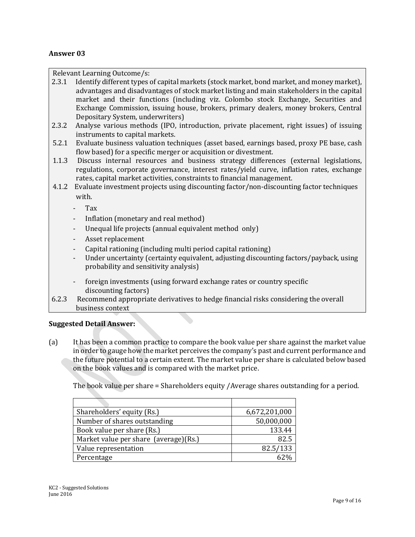#### **Answer 03**

Relevant Learning Outcome/s:

- 2.3.1 Identify different types of capital markets (stock market, bond market, and money market), advantages and disadvantages of stock market listing and main stakeholders in the capital market and their functions (including viz. Colombo stock Exchange, Securities and Exchange Commission, issuing house, brokers, primary dealers, money brokers, Central Depositary System, underwriters)
- 2.3.2 Analyse various methods (IPO, introduction, private placement, right issues) of issuing instruments to capital markets.
- 5.2.1 Evaluate business valuation techniques (asset based, earnings based, proxy PE base, cash flow based) for a specific merger or acquisition or divestment.
- 1.1.3 Discuss internal resources and business strategy differences (external legislations, regulations, corporate governance, interest rates/yield curve, inflation rates, exchange rates, capital market activities, constraints to financial management.
- 4.1.2 Evaluate investment projects using discounting factor/non-discounting factor techniques with.
	- Tax
	- Inflation (monetary and real method)
	- Unequal life projects (annual equivalent method only)
	- Asset replacement
	- Capital rationing (including multi period capital rationing)
	- Under uncertainty (certainty equivalent, adjusting discounting factors/payback, using probability and sensitivity analysis)
	- foreign investments (using forward exchange rates or country specific discounting factors)
- 6.2.3 Recommend appropriate derivatives to hedge financial risks considering the overall business context

#### **Suggested Detail Answer:**

(a) It has been a common practice to compare the book value per share against the market value in order to gauge how the market perceives the company's past and current performance and the future potential to a certain extent. The market value per share is calculated below based on the book values and is compared with the market price.

The book value per share = Shareholders equity /Average shares outstanding for a period.

| Shareholders' equity (Rs.)            | 6,672,201,000 |
|---------------------------------------|---------------|
| Number of shares outstanding          | 50,000,000    |
| Book value per share (Rs.)            | 133.44        |
| Market value per share (average)(Rs.) | 82.5          |
| Value representation                  | 82.5/133      |
| Percentage                            |               |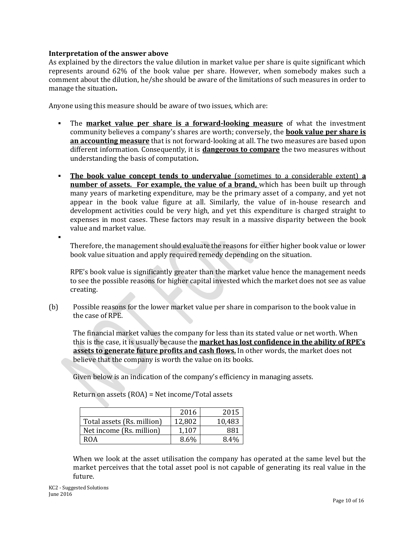#### **Interpretation of the answer above**

As explained by the directors the value dilution in market value per share is quite significant which represents around 62% of the book value per share. However, when somebody makes such a comment about the dilution, he/she should be aware of the limitations of such measures in order to manage the situation**.** 

Anyone using this measure should be aware of two issues, which are:

- The **market value per share is a forward-looking measure** of what the investment community believes a company's shares are worth; conversely, the **book value per share is an accounting measure** that is not forward-looking at all. The two measures are based upon different information. Consequently, it is **dangerous to compare** the two measures without understanding the basis of computation**.**
- **The book value concept tends to undervalue** (sometimes to a considerable extent) **a number of assets. For example, the value of a brand,** which has been built up through many years of marketing expenditure, may be the primary asset of a company, and yet not appear in the book value figure at all. Similarly, the value of in-house research and development activities could be very high, and yet this expenditure is charged straight to expenses in most cases. These factors may result in a massive disparity between the book value and market value.

Therefore, the management should evaluate the reasons for either higher book value or lower book value situation and apply required remedy depending on the situation.

RPE's book value is significantly greater than the market value hence the management needs to see the possible reasons for higher capital invested which the market does not see as value creating.

(b) Possible reasons for the lower market value per share in comparison to the book value in the case of RPE.

The financial market values the company for less than its stated value or net worth. When this is the case, it is usually because the **market has lost confidence in the ability of RPE's assets to generate future profits and [cash flows.](http://www.investopedia.com/terms/c/cashflow.asp)** In other words, the market does not believe that the company is worth the value on its books.

Given below is an indication of the company's efficiency in managing assets.

|                            | 2016   | 2015   |
|----------------------------|--------|--------|
| Total assets (Rs. million) | 12,802 | 10,483 |
| Net income (Rs. million)   | 1,107  | 881    |
| ROA                        | 8.6%   | 8.4%   |

Return on assets (ROA) = Net income/Total assets

When we look at the asset utilisation the company has operated at the same level but the market perceives that the total asset pool is not capable of generating its real value in the future.

 $\blacksquare$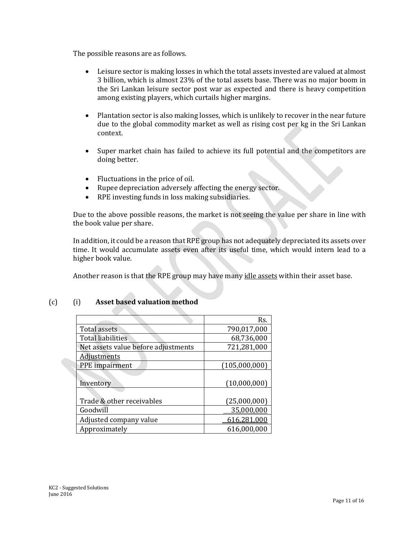The possible reasons are as follows.

- Leisure sector is making losses in which the total assets invested are valued at almost 3 billion, which is almost 23% of the total assets base. There was no major boom in the Sri Lankan leisure sector post war as expected and there is heavy competition among existing players, which curtails higher margins.
- Plantation sector is also making losses, which is unlikely to recover in the near future due to the global commodity market as well as rising cost per kg in the Sri Lankan context.
- Super market chain has failed to achieve its full potential and the competitors are doing better.
- Fluctuations in the price of oil.
- Rupee depreciation adversely affecting the energy sector.
- RPE investing funds in loss making subsidiaries.

Due to the above possible reasons, the market is not seeing the value per share in line with the book value per share.

In addition, it could be a reason that RPE group has not adequately depreciated its assets over time. It would accumulate assets even after its useful time, which would intern lead to a higher book value.

Another reason is that the RPE group may have many idle assets within their asset base.

| (c) |  | Asset based valuation method |  |
|-----|--|------------------------------|--|
|-----|--|------------------------------|--|

|                                     | Rs.           |
|-------------------------------------|---------------|
| <b>Total assets</b>                 | 790,017,000   |
| <b>Total liabilities</b>            | 68,736,000    |
| Net assets value before adjustments | 721,281,000   |
| <b>Adjustments</b>                  |               |
| PPE impairment                      | (105,000,000) |
|                                     |               |
| Inventory                           | (10,000,000)  |
|                                     |               |
| Trade & other receivables           | (25,000,000)  |
| Goodwill                            | 35,000,000    |
| Adjusted company value              | 616,281,000   |
| Approximately                       | 616,000,000   |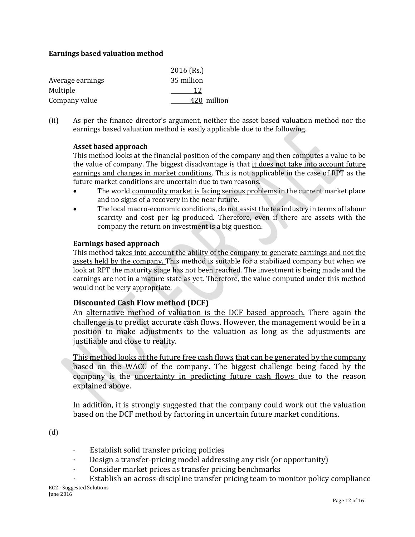#### **Earnings based valuation method**

|                  | $2016$ (Rs.) |
|------------------|--------------|
| Average earnings | 35 million   |
| Multiple         | 12           |
| Company value    | 420 million  |

(ii) As per the finance director's argument, neither the asset based valuation method nor the earnings based valuation method is easily applicable due to the following.

#### **Asset based approach**

This method looks at the financial position of the company and then computes a value to be the value of company. The biggest disadvantage is that it does not take into account future earnings and changes in market conditions. This is not applicable in the case of RPT as the future market conditions are uncertain due to two reasons.

- The world commodity market is facing serious problems in the current market place and no signs of a recovery in the near future.
- The local macro-economic conditions, do not assist the tea industry in terms of labour scarcity and cost per kg produced. Therefore, even if there are assets with the company the return on investment is a big question.

#### **Earnings based approach**

This method takes into account the ability of the company to generate earnings and not the assets held by the company. This method is suitable for a stabilized company but when we look at RPT the maturity stage has not been reached. The investment is being made and the earnings are not in a mature state as yet. Therefore, the value computed under this method would not be very appropriate.

### **Discounted Cash Flow method (DCF)**

An alternative method of valuation is the DCF based approach. There again the challenge is to predict accurate cash flows. However, the management would be in a position to make adjustments to the valuation as long as the adjustments are justifiable and close to reality.

This method looks at the future free cash flows that can be generated by the company based on the WACC of the company**.** The biggest challenge being faced by the company is the uncertainty in predicting future cash flows due to the reason explained above.

In addition, it is strongly suggested that the company could work out the valuation based on the DCF method by factoring in uncertain future market conditions.

(d)

- · Establish solid transfer pricing policies
- · Design a transfer-pricing model addressing any risk (or opportunity)
- Consider market prices as transfer pricing benchmarks
- KC2 Suggested Solutions June 2016 Establish an across-discipline transfer pricing team to monitor policy compliance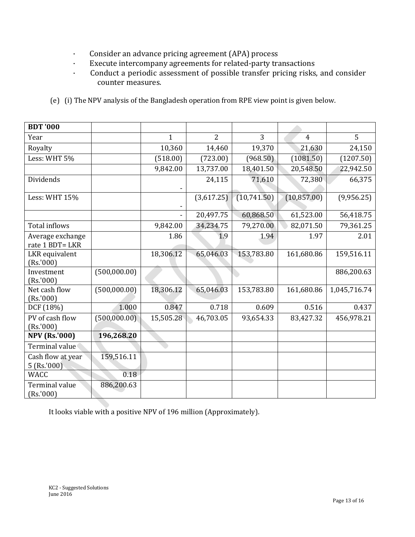- · Consider an advance pricing agreement (APA) process
- · Execute intercompany agreements for related-party transactions
- · Conduct a periodic assessment of possible transfer pricing risks, and consider counter measures.
- (e)(i) The NPV analysis of the Bangladesh operation from RPE view point is given below.

| <b>BDT '000</b>                     |              |           |                |             |                |              |
|-------------------------------------|--------------|-----------|----------------|-------------|----------------|--------------|
| Year                                |              | 1         | $\overline{2}$ | 3           | $\overline{4}$ | 5            |
| Royalty                             |              | 10,360    | 14,460         | 19,370      | 21,630         | 24,150       |
| Less: WHT 5%                        |              | (518.00)  | (723.00)       | (968.50)    | (1081.50)      | (1207.50)    |
|                                     |              | 9,842.00  | 13,737.00      | 18,401.50   | 20,548.50      | 22,942.50    |
| Dividends                           |              |           | 24,115         | 71,610      | 72,380         | 66,375       |
| Less: WHT 15%                       |              |           | (3,617.25)     | (10,741.50) | (10, 857.00)   | (9,956.25)   |
|                                     |              |           | 20,497.75      | 60,868.50   | 61,523.00      | 56,418.75    |
| Total inflows                       |              | 9,842.00  | 34,234.75      | 79,270.00   | 82,071.50      | 79,361.25    |
| Average exchange<br>rate 1 BDT= LKR |              | 1.86      | 1.9            | 1.94        | 1.97           | 2.01         |
| LKR equivalent<br>(Rs.'000)         |              | 18,306.12 | 65,046.03      | 153,783.80  | 161,680.86     | 159,516.11   |
| Investment<br>(Rs. '000)            | (500,000.00) |           |                |             |                | 886,200.63   |
| Net cash flow<br>(Rs. '000)         | (500,000.00) | 18,306.12 | 65,046.03      | 153,783.80  | 161,680.86     | 1,045,716.74 |
| DCF (18%)                           | 1.000        | 0.847     | 0.718          | 0.609       | 0.516          | 0.437        |
| PV of cash flow<br>(Rs.'000)        | (500,000.00) | 15,505.28 | 46,703.05      | 93,654.33   | 83,427.32      | 456,978.21   |
| <b>NPV</b> (Rs.'000)                | 196,268.20   |           |                |             |                |              |
| Terminal value                      |              |           |                |             |                |              |
| Cash flow at year<br>$5$ (Rs.'000)  | 159,516.11   |           |                |             |                |              |
| <b>WACC</b>                         | 0.18         |           |                |             |                |              |
| Terminal value<br>(Rs. '000)        | 886,200.63   |           |                |             |                |              |

It looks viable with a positive NPV of 196 million (Approximately).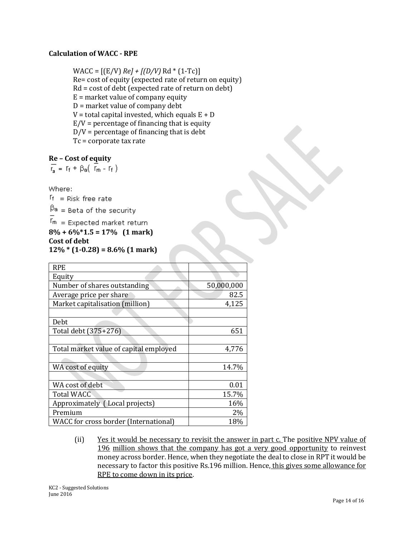#### **Calculation of WACC - RPE**

 $WACC = [(E/V) Re] + [(D/V) Re] * (1-Tc)]$ Re= cost of equity (expected rate of return on equity) Rd = cost of debt (expected rate of return on debt)  $E =$  market value of company equity D = market value of company debt  $V =$  total capital invested, which equals  $E + D$  $E/V$  = percentage of financing that is equity  $D/V =$  percentage of financing that is debt Tc = corporate tax rate

#### **Re – Cost of equity**

$$
\overline{r_a} = r_f + \beta_a \left( \overline{r_m} - r_f \right)
$$

Where:

 $f_f$  = Risk free rate  $\beta$ a = Beta of the security  $r_{\rm m}$  = Expected market return **8% + 6%\*1.5 = 17% (1 mark) Cost of debt 12% \* (1-0.28) = 8.6% (1 mark)**

| <b>RPE</b>                             |            |
|----------------------------------------|------------|
| Equity                                 |            |
| Number of shares outstanding           | 50,000,000 |
| Average price per share                | 82.5       |
| Market capitalisation (million)        | 4,125      |
|                                        |            |
| Debt                                   |            |
| Total debt (375+276)                   | 651        |
|                                        |            |
| Total market value of capital employed | 4,776      |
|                                        |            |
| WA cost of equity                      | 14.7%      |
|                                        |            |
| WA cost of debt                        | 0.01       |
| <b>Total WACC</b>                      | 15.7%      |
| Approximately (Local projects)         | 16%        |
| Premium                                | $2\%$      |
| WACC for cross border (International)  | 18%        |

(ii) Yes it would be necessary to revisit the answer in part c. The positive NPV value of 196 million shows that the company has got a very good opportunity to reinvest money across border. Hence, when they negotiate the deal to close in RPT it would be necessary to factor this positive Rs.196 million. Hence, this gives some allowance for RPE to come down in its price.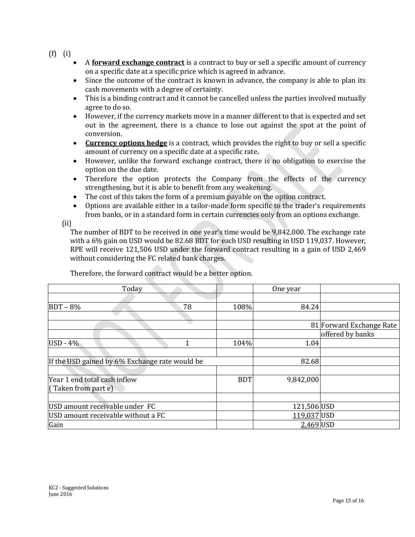(f) (i)

- A **forward exchange contract** is a contract to buy or sell a specific amount of currency on a specific date at a specific price which is agreed in advance.
- Since the outcome of the contract is known in advance, the company is able to plan its cash movements with a degree of certainty.
- This is a binding contract and it cannot be cancelled unless the parties involved mutually agree to do so.
- However, if the currency markets move in a manner different to that is expected and set out in the agreement, there is a chance to lose out against the spot at the point of conversion.
- **Currency options hedge** is a contract, which provides the right to buy or sell a specific amount of currency on a specific date at a specific rate**.**
- However, unlike the forward exchange contract, there is no obligation to exercise the option on the due date.
- Therefore the option protects the Company from the effects of the currency strengthening, but it is able to benefit from any weakening.
- The cost of this takes the form of a premium payable on the option contract.
- Options are available either in a tailor-made form specific to the trader's requirements from banks, or in a standard form in certain currencies only from an options exchange.

(ii)

The number of BDT to be received in one year's time would be 9,842,000. The exchange rate with a 6% gain on USD would be 82.68 BDT for each USD resulting in USD 119,037. However, RPE will receive 121,506 USD under the forward contract resulting in a gain of USD 2,469 without considering the FC related bank charges.

| Today                                          |    |            | One year    |                          |
|------------------------------------------------|----|------------|-------------|--------------------------|
|                                                |    |            |             |                          |
| $BDT - 8%$                                     | 78 | 108%       | 84.24       |                          |
|                                                |    |            |             |                          |
|                                                |    |            |             | 81 Forward Exchange Rate |
|                                                |    |            |             | offered by banks         |
| $USD - 4%$                                     |    | 104%       | 1.04        |                          |
|                                                |    |            |             |                          |
| If the USD gained by 6% Exchange rate would be |    |            | 82.68       |                          |
|                                                |    |            |             |                          |
| Year 1 end total cash inflow                   |    | <b>BDT</b> | 9,842,000   |                          |
| $($ Taken from part e $)$                      |    |            |             |                          |
|                                                |    |            |             |                          |
| USD amount receivable under FC                 |    |            | 121,506 USD |                          |
| USD amount receivable without a FC             |    |            | 119,037 USD |                          |
| Gain                                           |    |            | 2,469 USD   |                          |

Therefore, the forward contract would be a better option.